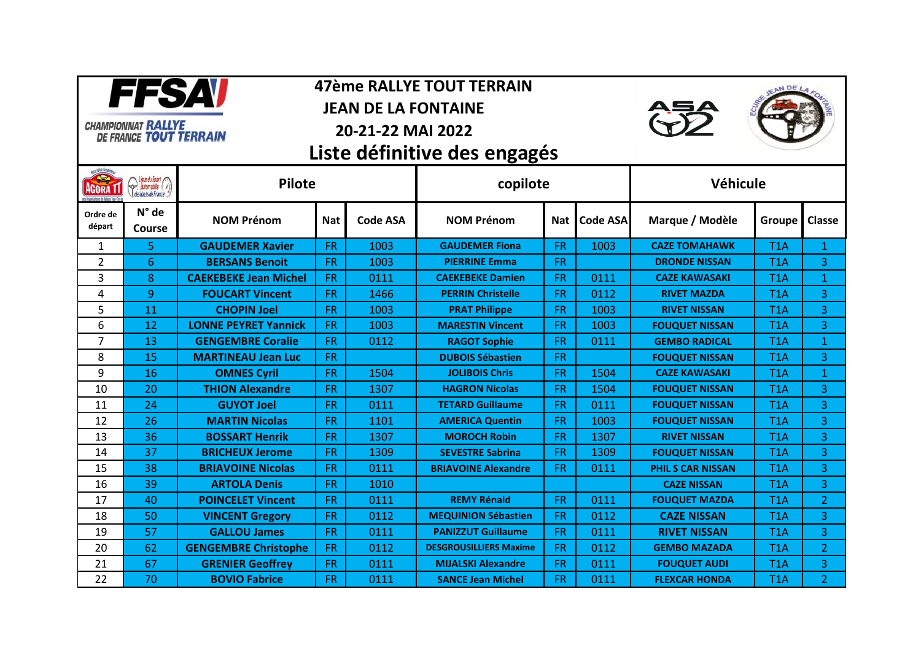

## **47ème RALLYE TOUT TERRAIN**

**JEAN DE LA FONTAINE** 



## **20-21-22 MAI 2022**





 **Liste définitive des engagés** 

| <b>REA</b><br>AGORA 1<br>s Organisateurs de Ballues Tout-Terrai | Ligue du Sport<br>des l'antomobile | <b>Pilote</b>                |            | copilote        |                               |            | Véhicule        |                          |                  |                |
|-----------------------------------------------------------------|------------------------------------|------------------------------|------------|-----------------|-------------------------------|------------|-----------------|--------------------------|------------------|----------------|
| Ordre de<br>départ                                              | $N^{\circ}$ de<br><b>Course</b>    | <b>NOM Prénom</b>            | <b>Nat</b> | <b>Code ASA</b> | <b>NOM Prénom</b>             | <b>Nat</b> | <b>Code ASA</b> | Marque / Modèle          | Groupe           | <b>Classe</b>  |
| 1                                                               | 5.                                 | <b>GAUDEMER Xavier</b>       | <b>FR</b>  | 1003            | <b>GAUDEMER Fiona</b>         | <b>FR</b>  | 1003            | <b>CAZE TOMAHAWK</b>     | T <sub>1</sub> A | $\mathbf{1}$   |
| 2                                                               | 6                                  | <b>BERSANS Benoit</b>        | <b>FR</b>  | 1003            | <b>PIERRINE Emma</b>          | <b>FR</b>  |                 | <b>DRONDE NISSAN</b>     | T <sub>1</sub> A | 3              |
| 3                                                               | 8                                  | <b>CAEKEBEKE Jean Michel</b> | <b>FR</b>  | 0111            | <b>CAEKEBEKE Damien</b>       | <b>FR</b>  | 0111            | <b>CAZE KAWASAKI</b>     | T <sub>1</sub> A | 1              |
| 4                                                               | 9                                  | <b>FOUCART Vincent</b>       | FR.        | 1466            | <b>PERRIN Christelle</b>      | FR.        | 0112            | <b>RIVET MAZDA</b>       | T <sub>1</sub> A | 3              |
| 5                                                               | 11                                 | <b>CHOPIN Joel</b>           | <b>FR</b>  | 1003            | <b>PRAT Philippe</b>          | <b>FR</b>  | 1003            | <b>RIVET NISSAN</b>      | T <sub>1</sub> A | 3              |
| 6                                                               | 12                                 | <b>LONNE PEYRET Yannick</b>  | <b>FR</b>  | 1003            | <b>MARESTIN Vincent</b>       | <b>FR</b>  | 1003            | <b>FOUQUET NISSAN</b>    | T <sub>1</sub> A | 3              |
| 7                                                               | 13                                 | <b>GENGEMBRE Coralie</b>     | <b>FR</b>  | 0112            | <b>RAGOT Sophie</b>           | <b>FR</b>  | 0111            | <b>GEMBO RADICAL</b>     | T <sub>1</sub> A | $\mathbf{1}$   |
| 8                                                               | 15                                 | <b>MARTINEAU Jean Luc</b>    | FR.        |                 | <b>DUBOIS Sébastien</b>       | <b>FR</b>  |                 | <b>FOUQUET NISSAN</b>    | T1A              | 3              |
| 9                                                               | 16                                 | <b>OMNES Cyril</b>           | <b>FR</b>  | 1504            | <b>JOLIBOIS Chris</b>         | <b>FR</b>  | 1504            | <b>CAZE KAWASAKI</b>     | T <sub>1</sub> A | $\mathbf{1}$   |
| 10                                                              | 20                                 | <b>THION Alexandre</b>       | <b>FR</b>  | 1307            | <b>HAGRON Nicolas</b>         | <b>FR</b>  | 1504            | <b>FOUQUET NISSAN</b>    | T1A              | 3              |
| 11                                                              | 24                                 | <b>GUYOT Joel</b>            | <b>FR</b>  | 0111            | <b>TETARD Guillaume</b>       | <b>FR</b>  | 0111            | <b>FOUQUET NISSAN</b>    | T <sub>1</sub> A | 3              |
| 12                                                              | 26                                 | <b>MARTIN Nicolas</b>        | FR.        | 1101            | <b>AMERICA Quentin</b>        | <b>FR</b>  | 1003            | <b>FOUQUET NISSAN</b>    | T <sub>1</sub> A | 3              |
| 13                                                              | 36                                 | <b>BOSSART Henrik</b>        | <b>FR</b>  | 1307            | <b>MOROCH Robin</b>           | <b>FR</b>  | 1307            | <b>RIVET NISSAN</b>      | T <sub>1</sub> A | 3              |
| 14                                                              | 37                                 | <b>BRICHEUX Jerome</b>       | <b>FR</b>  | 1309            | <b>SEVESTRE Sabrina</b>       | <b>FR</b>  | 1309            | <b>FOUQUET NISSAN</b>    | T <sub>1</sub> A | 3              |
| 15                                                              | 38                                 | <b>BRIAVOINE Nicolas</b>     | FR.        | 0111            | <b>BRIAVOINE Alexandre</b>    | FR.        | 0111            | <b>PHIL S CAR NISSAN</b> | T1A              | 3              |
| 16                                                              | 39                                 | <b>ARTOLA Denis</b>          | <b>FR</b>  | 1010            |                               |            |                 | <b>CAZE NISSAN</b>       | T <sub>1</sub> A | 3              |
| 17                                                              | 40                                 | <b>POINCELET Vincent</b>     | <b>FR</b>  | 0111            | <b>REMY Rénald</b>            | <b>FR</b>  | 0111            | <b>FOUQUET MAZDA</b>     | T <sub>1</sub> A | $\overline{2}$ |
| 18                                                              | 50                                 | <b>VINCENT Gregory</b>       | <b>FR</b>  | 0112            | <b>MEQUINION Sébastien</b>    | <b>FR</b>  | 0112            | <b>CAZE NISSAN</b>       | T <sub>1</sub> A | 3              |
| 19                                                              | 57                                 | <b>GALLOU James</b>          | <b>FR</b>  | 0111            | <b>PANIZZUT Guillaume</b>     | <b>FR</b>  | 0111            | <b>RIVET NISSAN</b>      | T <sub>1</sub> A | 3              |
| 20                                                              | 62                                 | <b>GENGEMBRE Christophe</b>  | <b>FR</b>  | 0112            | <b>DESGROUSILLIERS Maxime</b> | FR.        | 0112            | <b>GEMBO MAZADA</b>      | T <sub>1</sub> A | $\overline{2}$ |
| 21                                                              | 67                                 | <b>GRENIER Geoffrey</b>      | <b>FR</b>  | 0111            | <b>MIJALSKI Alexandre</b>     | <b>FR</b>  | 0111            | <b>FOUQUET AUDI</b>      | T1A              | 3              |
| 22                                                              | 70                                 | <b>BOVIO Fabrice</b>         | FR.        | 0111            | <b>SANCE Jean Michel</b>      | FR.        | 0111            | <b>FLEXCAR HONDA</b>     | T <sub>1</sub> A | $\overline{2}$ |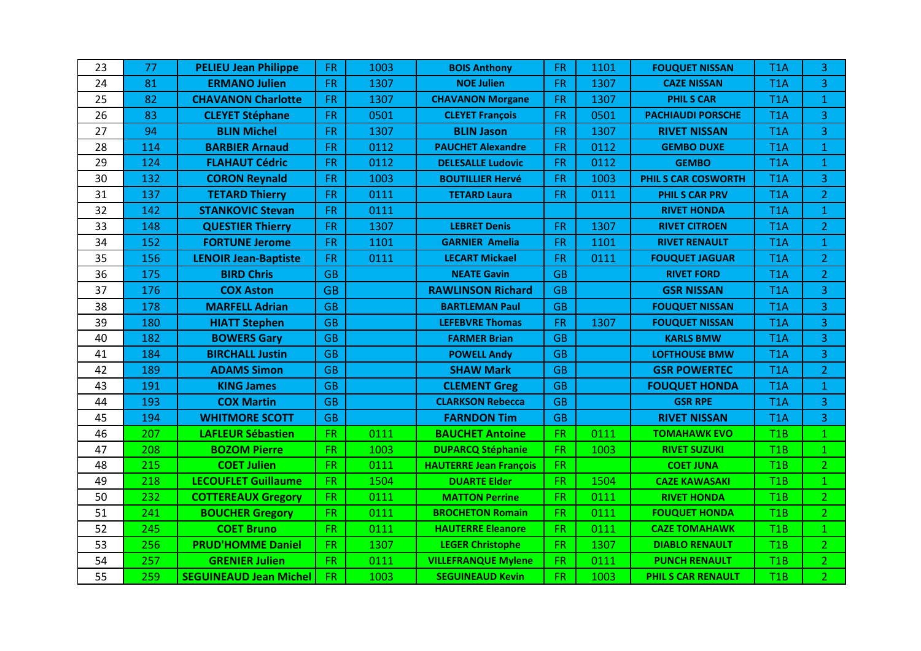| 23 | 77  | <b>PELIEU Jean Philippe</b>   | <b>FR</b> | 1003 | <b>BOIS Anthony</b>           | <b>FR</b> | 1101 | <b>FOUQUET NISSAN</b>      | T <sub>1</sub> A | 3              |
|----|-----|-------------------------------|-----------|------|-------------------------------|-----------|------|----------------------------|------------------|----------------|
| 24 | 81  | <b>ERMANO Julien</b>          | <b>FR</b> | 1307 | <b>NOE Julien</b>             | <b>FR</b> | 1307 | <b>CAZE NISSAN</b>         | T <sub>1</sub> A | 3              |
| 25 | 82  | <b>CHAVANON Charlotte</b>     | <b>FR</b> | 1307 | <b>CHAVANON Morgane</b>       | <b>FR</b> | 1307 | <b>PHILS CAR</b>           | T <sub>1</sub> A | $\mathbf{1}$   |
| 26 | 83  | <b>CLEYET Stéphane</b>        | <b>FR</b> | 0501 | <b>CLEYET François</b>        | <b>FR</b> | 0501 | <b>PACHIAUDI PORSCHE</b>   | T <sub>1</sub> A | $\overline{3}$ |
| 27 | 94  | <b>BLIN Michel</b>            | <b>FR</b> | 1307 | <b>BLIN Jason</b>             | <b>FR</b> | 1307 | <b>RIVET NISSAN</b>        | T <sub>1</sub> A | 3              |
| 28 | 114 | <b>BARBIER Arnaud</b>         | <b>FR</b> | 0112 | <b>PAUCHET Alexandre</b>      | <b>FR</b> | 0112 | <b>GEMBO DUXE</b>          | T <sub>1</sub> A | $\mathbf{1}$   |
| 29 | 124 | <b>FLAHAUT Cédric</b>         | <b>FR</b> | 0112 | <b>DELESALLE Ludovic</b>      | <b>FR</b> | 0112 | <b>GEMBO</b>               | T <sub>1</sub> A | $\mathbf{1}$   |
| 30 | 132 | <b>CORON Reynald</b>          | <b>FR</b> | 1003 | <b>BOUTILLIER Hervé</b>       | <b>FR</b> | 1003 | <b>PHIL S CAR COSWORTH</b> | T <sub>1</sub> A | $\overline{3}$ |
| 31 | 137 | <b>TETARD Thierry</b>         | <b>FR</b> | 0111 | <b>TETARD Laura</b>           | <b>FR</b> | 0111 | <b>PHILS CAR PRV</b>       | T <sub>1</sub> A | $\overline{2}$ |
| 32 | 142 | <b>STANKOVIC Stevan</b>       | <b>FR</b> | 0111 |                               |           |      | <b>RIVET HONDA</b>         | T <sub>1</sub> A | $\mathbf{1}$   |
| 33 | 148 | <b>QUESTIER Thierry</b>       | <b>FR</b> | 1307 | <b>LEBRET Denis</b>           | <b>FR</b> | 1307 | <b>RIVET CITROEN</b>       | T <sub>1</sub> A | $\overline{2}$ |
| 34 | 152 | <b>FORTUNE Jerome</b>         | <b>FR</b> | 1101 | <b>GARNIER Amelia</b>         | <b>FR</b> | 1101 | <b>RIVET RENAULT</b>       | T <sub>1</sub> A | $\mathbf{1}$   |
| 35 | 156 | <b>LENOIR Jean-Baptiste</b>   | <b>FR</b> | 0111 | <b>LECART Mickael</b>         | <b>FR</b> | 0111 | <b>FOUQUET JAGUAR</b>      | T <sub>1</sub> A | $\overline{2}$ |
| 36 | 175 | <b>BIRD Chris</b>             | <b>GB</b> |      | <b>NEATE Gavin</b>            | <b>GB</b> |      | <b>RIVET FORD</b>          | T <sub>1</sub> A | $\overline{2}$ |
| 37 | 176 | <b>COX Aston</b>              | <b>GB</b> |      | <b>RAWLINSON Richard</b>      | <b>GB</b> |      | <b>GSR NISSAN</b>          | T <sub>1</sub> A | 3              |
| 38 | 178 | <b>MARFELL Adrian</b>         | <b>GB</b> |      | <b>BARTLEMAN Paul</b>         | <b>GB</b> |      | <b>FOUQUET NISSAN</b>      | T <sub>1</sub> A | $\overline{3}$ |
| 39 | 180 | <b>HIATT Stephen</b>          | <b>GB</b> |      | <b>LEFEBVRE Thomas</b>        | <b>FR</b> | 1307 | <b>FOUQUET NISSAN</b>      | T <sub>1</sub> A | 3              |
| 40 | 182 | <b>BOWERS Gary</b>            | <b>GB</b> |      | <b>FARMER Brian</b>           | <b>GB</b> |      | <b>KARLS BMW</b>           | T <sub>1</sub> A | $\overline{3}$ |
| 41 | 184 | <b>BIRCHALL Justin</b>        | <b>GB</b> |      | <b>POWELL Andy</b>            | <b>GB</b> |      | <b>LOFTHOUSE BMW</b>       | T <sub>1</sub> A | 3 <sup>1</sup> |
| 42 | 189 | <b>ADAMS Simon</b>            | <b>GB</b> |      | <b>SHAW Mark</b>              | <b>GB</b> |      | <b>GSR POWERTEC</b>        | T <sub>1</sub> A | $\overline{2}$ |
| 43 | 191 | <b>KING James</b>             | <b>GB</b> |      | <b>CLEMENT Greg</b>           | <b>GB</b> |      | <b>FOUQUET HONDA</b>       | T <sub>1</sub> A | $\mathbf{1}$   |
| 44 | 193 | <b>COX Martin</b>             | <b>GB</b> |      | <b>CLARKSON Rebecca</b>       | <b>GB</b> |      | <b>GSR RPE</b>             | T <sub>1</sub> A | 3              |
| 45 | 194 | <b>WHITMORE SCOTT</b>         | <b>GB</b> |      | <b>FARNDON Tim</b>            | <b>GB</b> |      | <b>RIVET NISSAN</b>        | T <sub>1</sub> A | 3              |
| 46 | 207 | <b>LAFLEUR Sébastien</b>      | <b>FR</b> | 0111 | <b>BAUCHET Antoine</b>        | <b>FR</b> | 0111 | <b>TOMAHAWK EVO</b>        | T <sub>1</sub> B | $\mathbf{1}$   |
| 47 | 208 | <b>BOZOM Pierre</b>           | <b>FR</b> | 1003 | <b>DUPARCQ Stéphanie</b>      | <b>FR</b> | 1003 | <b>RIVET SUZUKI</b>        | T1B              | $\mathbf{1}$   |
| 48 | 215 | <b>COET Julien</b>            | <b>FR</b> | 0111 | <b>HAUTERRE Jean François</b> | <b>FR</b> |      | <b>COET JUNA</b>           | T1B              | 2 <sup>1</sup> |
| 49 | 218 | <b>LECOUFLET Guillaume</b>    | <b>FR</b> | 1504 | <b>DUARTE Elder</b>           | <b>FR</b> | 1504 | <b>CAZE KAWASAKI</b>       | T1B              | 1              |
| 50 | 232 | <b>COTTEREAUX Gregory</b>     | <b>FR</b> | 0111 | <b>MATTON Perrine</b>         | <b>FR</b> | 0111 | <b>RIVET HONDA</b>         | T1B              | 2 <sup>1</sup> |
| 51 | 241 | <b>BOUCHER Gregory</b>        | <b>FR</b> | 0111 | <b>BROCHETON Romain</b>       | <b>FR</b> | 0111 | <b>FOUQUET HONDA</b>       | T1B              | 2 <sup>1</sup> |
| 52 | 245 | <b>COET Bruno</b>             | <b>FR</b> | 0111 | <b>HAUTERRE Eleanore</b>      | <b>FR</b> | 0111 | <b>CAZE TOMAHAWK</b>       | T1B              | $\mathbf{1}$   |
| 53 | 256 | <b>PRUD'HOMME Daniel</b>      | <b>FR</b> | 1307 | <b>LEGER Christophe</b>       | FR.       | 1307 | <b>DIABLO RENAULT</b>      | T1B              | 2 <sup>1</sup> |
| 54 | 257 | <b>GRENIER Julien</b>         | <b>FR</b> | 0111 | <b>VILLEFRANQUE Mylene</b>    | <b>FR</b> | 0111 | <b>PUNCH RENAULT</b>       | T1B              | $\overline{2}$ |
| 55 | 259 | <b>SEGUINEAUD Jean Michel</b> | <b>FR</b> | 1003 | <b>SEGUINEAUD Kevin</b>       | FR.       | 1003 | PHIL S CAR RENAULT         | T1B              | 2 <sup>1</sup> |